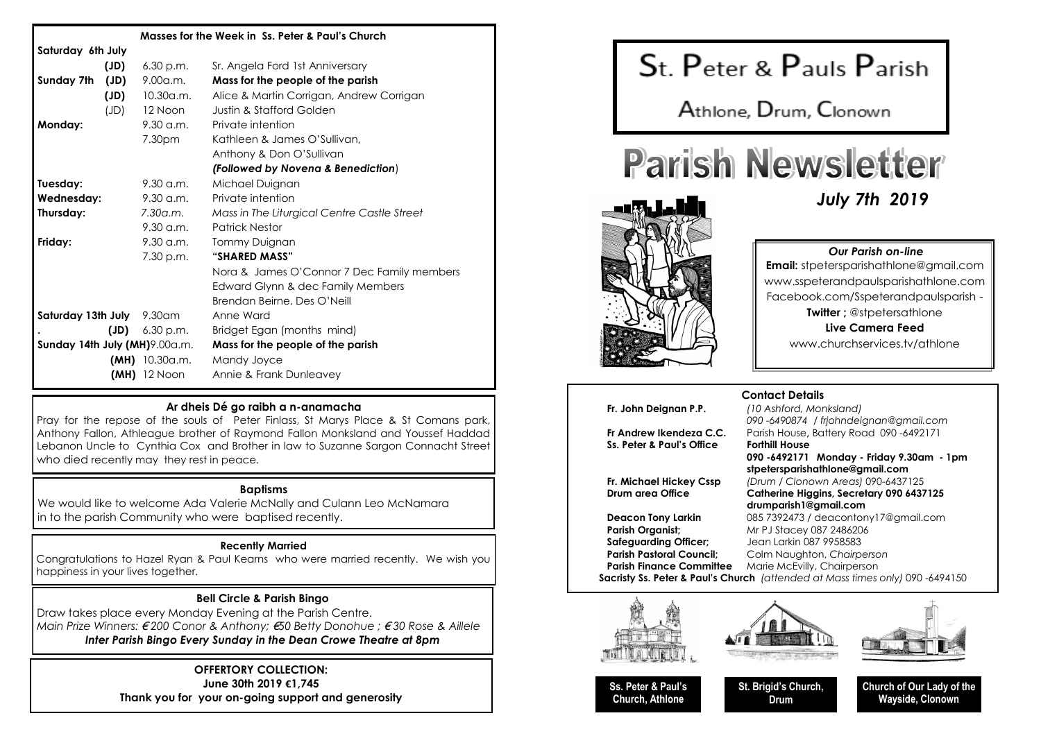| Masses for the Week in Ss. Peter & Paul's Church |      |                        |                                             |
|--------------------------------------------------|------|------------------------|---------------------------------------------|
| Saturday 6th July                                |      |                        |                                             |
|                                                  | (JD) | 6.30 p.m.              | Sr. Angela Ford 1st Anniversary             |
| Sunday 7th                                       | (JD) | 9.00a.m.               | Mass for the people of the parish           |
|                                                  | (JD) | 10.30a.m.              | Alice & Martin Corrigan, Andrew Corrigan    |
|                                                  | (JD) | 12 Noon                | Justin & Stafford Golden                    |
| Monday:                                          |      | 9.30 a.m.              | Private intention                           |
|                                                  |      | 7.30pm                 | Kathleen & James O'Sullivan,                |
|                                                  |      |                        | Anthony & Don O'Sullivan                    |
|                                                  |      |                        | (Followed by Novena & Benediction)          |
| Tuesday:                                         |      | $9.30$ a.m.            | Michael Duignan                             |
| Wednesday:                                       |      | $9.30$ a.m.            | Private intention                           |
| Thursday:                                        |      | 7.30a.m.               | Mass in The Liturgical Centre Castle Street |
|                                                  |      | $9.30 \,\mathrm{a.m.}$ | <b>Patrick Nestor</b>                       |
| Friday:                                          |      | $9.30$ a.m.            | Tommy Duignan                               |
|                                                  |      | 7.30 p.m.              | "SHARED MASS"                               |
|                                                  |      |                        | Nora & James O'Connor 7 Dec Family members  |
|                                                  |      |                        | Edward Glynn & dec Family Members           |
|                                                  |      |                        | Brendan Beirne, Des O'Neill                 |
| Saturday 13th July 9.30am                        |      |                        | Anne Ward                                   |
|                                                  |      | $JD$ ) $6.30 p.m.$     | Bridget Egan (months mind)                  |
| Sunday 14th July (MH)9.00a.m.                    |      |                        | Mass for the people of the parish           |
|                                                  |      | $(MH)$ 10.30a.m.       | Mandy Joyce                                 |
|                                                  |      | $(MH)$ 12 Noon         | Annie & Frank Dunleavey                     |

#### **Ar dheis Dé go raibh a n-anamacha**

Pray for the repose of the souls of Peter Finlass, St Marys Place & St Comans park, Anthony Fallon, Athleague brother of Raymond Fallon Monksland and Youssef Haddad Lebanon Uncle to Cynthia Cox and Brother in law to Suzanne Sargon Connacht Street who died recently may they rest in peace.

#### **Baptisms**

We would like to welcome Ada Valerie McNally and Culann Leo McNamara in to the parish Community who were baptised recently.

#### **Recently Married**

Congratulations to Hazel Ryan & Paul Kearns who were married recently. We wish you happiness in your lives together.

#### **Bell Circle & Parish Bingo**

Draw takes place every Monday Evening at the Parish Centre. *Main Prize Winners:* € *200 Conor & Anthony;* €*50 Betty Donohue ;* € *30 Rose & Aillele Inter Parish Bingo Every Sunday in the Dean Crowe Theatre at 8pm*

#### **OFFERTORY COLLECTION: June 30th 2019 €1,745**

**Thank you for your on-going support and generosity**



Athlone, Drum, Clonown

# **Parish Newsletter**



#### *Our Parish on-line*

*July 7th 2019*

**Email:** stpetersparishathlone@gmail.com www.sspeterandpaulsparishathlone.com Facebook.com/Sspeterandpaulsparish - **Twitter:** @stpetersathlone **Live Camera Feed** 

www.churchservices.tv/athlone

# **Fr. John Deignan P.P.** *(10 Ashford, Monksland)*

**Ss. Peter & Paul's Office Forthill House**

# **Contact Details**

*090 -6490874 / frjohndeignan@gmail.com* **Fr Andrew Ikendeza C.C.** Parish House**,** Battery Road 090 -6492171 **090 -6492171 Monday - Friday 9.30am - 1pm stpetersparishathlone@gmail.com Fr. Michael Hickey Cssp** *(Drum / Clonown Areas)* 090-6437125 Catherine Higgins, Secretary 090 6437125 **drumparish1@gmail.com Deacon Tony Larkin** 085 7392473 / deacontony17@gmail.com **Parish Organist:** Mr PJ Stacey 087 2486206

**Safeguarding Officer;** Jean Larkin 087 9958583 **Parish Pastoral Council:** Colm Naughton, *Chairperson* **Parish Finance Committee** Marie McEvilly, Chairperson

**Sacristy Ss. Peter & Paul's Church** *(attended at Mass times only)* 090 -6494150







**Ss. Peter & Paul's Church, Athlone**

**St. Brigid's Church, Drum**

**Church of Our Lady of the Wayside, Clonown**